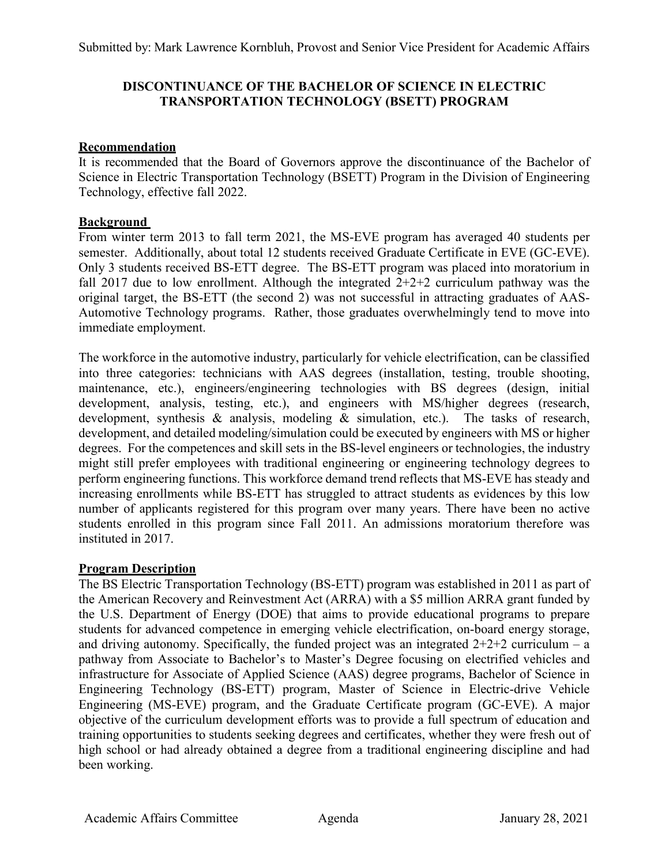# **DISCONTINUANCE OF THE BACHELOR OF SCIENCE IN ELECTRIC TRANSPORTATION TECHNOLOGY (BSETT) PROGRAM**

# **Recommendation**

It is recommended that the Board of Governors approve the discontinuance of the Bachelor of Science in Electric Transportation Technology (BSETT) Program in the Division of Engineering Technology, effective fall 2022.

# **Background**

From winter term 2013 to fall term 2021, the MS-EVE program has averaged 40 students per semester. Additionally, about total 12 students received Graduate Certificate in EVE (GC-EVE). Only 3 students received BS-ETT degree. The BS-ETT program was placed into moratorium in fall 2017 due to low enrollment. Although the integrated  $2+2+2$  curriculum pathway was the original target, the BS-ETT (the second 2) was not successful in attracting graduates of AAS-Automotive Technology programs. Rather, those graduates overwhelmingly tend to move into immediate employment.

The workforce in the automotive industry, particularly for vehicle electrification, can be classified into three categories: technicians with AAS degrees (installation, testing, trouble shooting, maintenance, etc.), engineers/engineering technologies with BS degrees (design, initial development, analysis, testing, etc.), and engineers with MS/higher degrees (research, development, synthesis & analysis, modeling & simulation, etc.). The tasks of research, development, and detailed modeling/simulation could be executed by engineers with MS or higher degrees. For the competences and skill sets in the BS-level engineers or technologies, the industry might still prefer employees with traditional engineering or engineering technology degrees to perform engineering functions. This workforce demand trend reflects that MS-EVE has steady and increasing enrollments while BS-ETT has struggled to attract students as evidences by this low number of applicants registered for this program over many years. There have been no active students enrolled in this program since Fall 2011. An admissions moratorium therefore was instituted in 2017.

### **Program Description**

The BS Electric Transportation Technology (BS-ETT) program was established in 2011 as part of the American Recovery and Reinvestment Act (ARRA) with a \$5 million ARRA grant funded by the U.S. Department of Energy (DOE) that aims to provide educational programs to prepare students for advanced competence in emerging vehicle electrification, on-board energy storage, and driving autonomy. Specifically, the funded project was an integrated  $2+2+2$  curriculum – a pathway from Associate to Bachelor's to Master's Degree focusing on electrified vehicles and infrastructure for Associate of Applied Science (AAS) degree programs, Bachelor of Science in Engineering Technology (BS-ETT) program, Master of Science in Electric-drive Vehicle Engineering (MS-EVE) program, and the Graduate Certificate program (GC-EVE). A major objective of the curriculum development efforts was to provide a full spectrum of education and training opportunities to students seeking degrees and certificates, whether they were fresh out of high school or had already obtained a degree from a traditional engineering discipline and had been working.